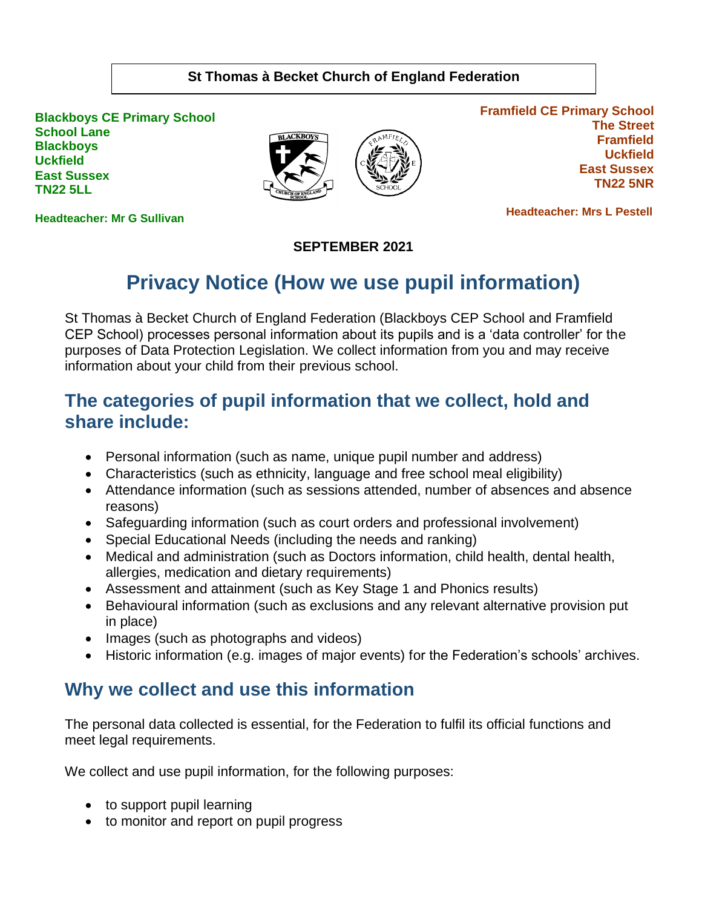#### **St Thomas à Becket Church of England Federation**

**Blackboys CE Primary School School Lane Blackboys Uckfield East Sussex TN22 5LL**



**Framfield CE Primary School The Street Framfield Uckfield East Sussex TN22 5NR**

**Headteacher: Mr G Sullivan**

 **Headteacher: Mrs L Pestell** 

#### **SEPTEMBER 2021**

# **Privacy Notice (How we use pupil information)**

St Thomas à Becket Church of England Federation (Blackboys CEP School and Framfield CEP School) processes personal information about its pupils and is a 'data controller' for the purposes of Data Protection Legislation. We collect information from you and may receive information about your child from their previous school.

#### **The categories of pupil information that we collect, hold and share include:**

- Personal information (such as name, unique pupil number and address)
- Characteristics (such as ethnicity, language and free school meal eligibility)
- Attendance information (such as sessions attended, number of absences and absence reasons)
- Safeguarding information (such as court orders and professional involvement)
- Special Educational Needs (including the needs and ranking)
- Medical and administration (such as Doctors information, child health, dental health, allergies, medication and dietary requirements)
- Assessment and attainment (such as Key Stage 1 and Phonics results)
- Behavioural information (such as exclusions and any relevant alternative provision put in place)
- Images (such as photographs and videos)
- Historic information (e.g. images of major events) for the Federation's schools' archives.

#### **Why we collect and use this information**

The personal data collected is essential, for the Federation to fulfil its official functions and meet legal requirements.

We collect and use pupil information, for the following purposes:

- to support pupil learning
- to monitor and report on pupil progress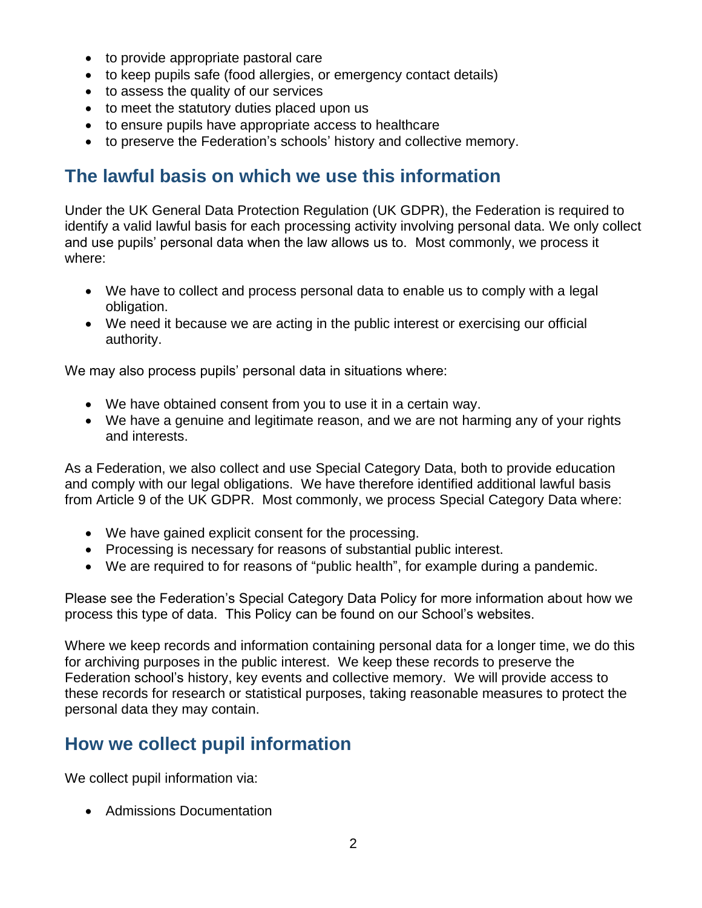- to provide appropriate pastoral care
- to keep pupils safe (food allergies, or emergency contact details)
- to assess the quality of our services
- to meet the statutory duties placed upon us
- to ensure pupils have appropriate access to healthcare
- to preserve the Federation's schools' history and collective memory.

#### **The lawful basis on which we use this information**

Under the UK General Data Protection Regulation (UK GDPR), the Federation is required to identify a valid lawful basis for each processing activity involving personal data. We only collect and use pupils' personal data when the law allows us to. Most commonly, we process it where:

- We have to collect and process personal data to enable us to comply with a legal obligation.
- We need it because we are acting in the public interest or exercising our official authority.

We may also process pupils' personal data in situations where:

- We have obtained consent from you to use it in a certain way.
- We have a genuine and legitimate reason, and we are not harming any of your rights and interests.

As a Federation, we also collect and use Special Category Data, both to provide education and comply with our legal obligations. We have therefore identified additional lawful basis from Article 9 of the UK GDPR. Most commonly, we process Special Category Data where:

- We have gained explicit consent for the processing.
- Processing is necessary for reasons of substantial public interest.
- We are required to for reasons of "public health", for example during a pandemic.

Please see the Federation's Special Category Data Policy for more information about how we process this type of data. This Policy can be found on our School's websites.

Where we keep records and information containing personal data for a longer time, we do this for archiving purposes in the public interest. We keep these records to preserve the Federation school's history, key events and collective memory. We will provide access to these records for research or statistical purposes, taking reasonable measures to protect the personal data they may contain.

### **How we collect pupil information**

We collect pupil information via:

• Admissions Documentation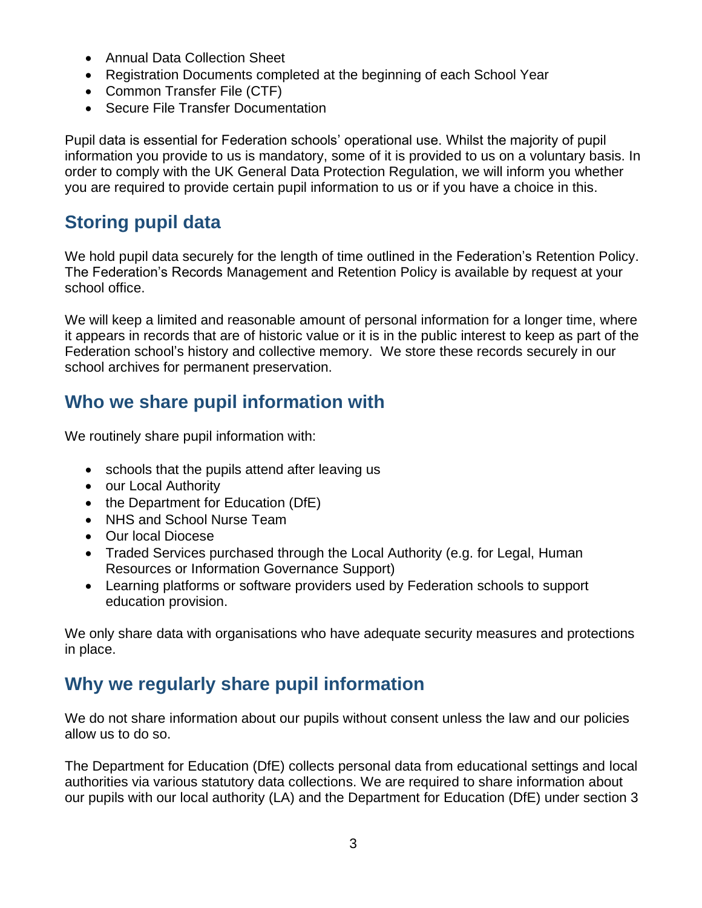- Annual Data Collection Sheet
- Registration Documents completed at the beginning of each School Year
- Common Transfer File (CTF)
- Secure File Transfer Documentation

Pupil data is essential for Federation schools' operational use. Whilst the majority of pupil information you provide to us is mandatory, some of it is provided to us on a voluntary basis. In order to comply with the UK General Data Protection Regulation, we will inform you whether you are required to provide certain pupil information to us or if you have a choice in this.

# **Storing pupil data**

We hold pupil data securely for the length of time outlined in the Federation's Retention Policy. The Federation's Records Management and Retention Policy is available by request at your school office.

We will keep a limited and reasonable amount of personal information for a longer time, where it appears in records that are of historic value or it is in the public interest to keep as part of the Federation school's history and collective memory. We store these records securely in our school archives for permanent preservation.

### **Who we share pupil information with**

We routinely share pupil information with:

- schools that the pupils attend after leaving us
- our Local Authority
- the Department for Education (DfE)
- NHS and School Nurse Team
- Our local Diocese
- Traded Services purchased through the Local Authority (e.g. for Legal, Human Resources or Information Governance Support)
- Learning platforms or software providers used by Federation schools to support education provision.

We only share data with organisations who have adequate security measures and protections in place.

### **Why we regularly share pupil information**

We do not share information about our pupils without consent unless the law and our policies allow us to do so.

The Department for Education (DfE) collects personal data from educational settings and local authorities via various statutory data collections. We are required to share information about our pupils with our local authority (LA) and the Department for Education (DfE) under section 3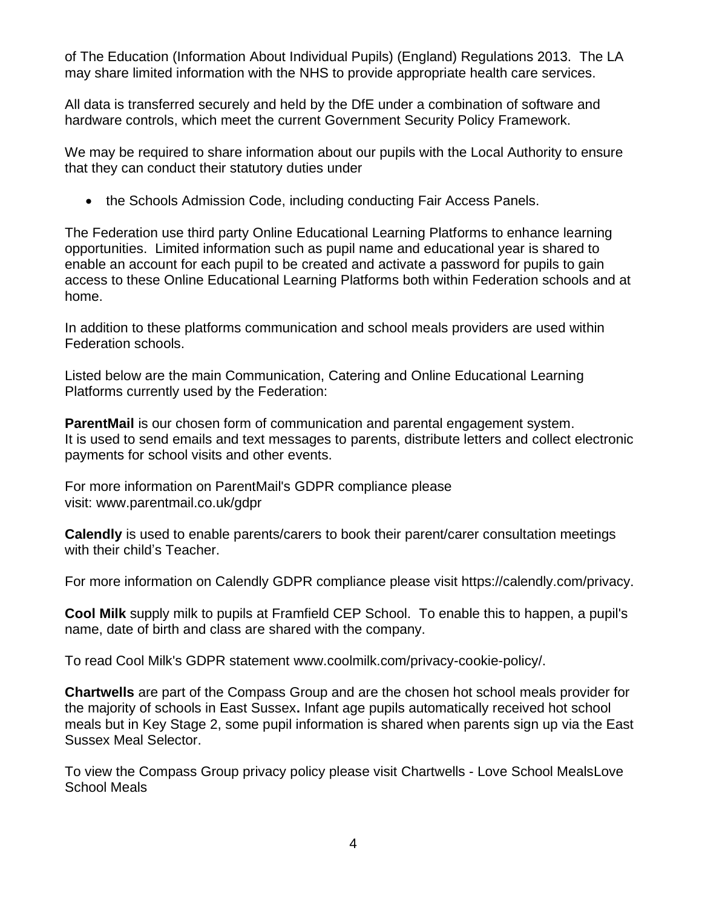of The Education (Information About Individual Pupils) (England) Regulations 2013. The LA may share limited information with the NHS to provide appropriate health care services.

All data is transferred securely and held by the DfE under a combination of software and hardware controls, which meet the current Government Security Policy Framework.

We may be required to share information about our pupils with the Local Authority to ensure that they can conduct their statutory duties under

• the Schools Admission Code, including conducting Fair Access Panels.

The Federation use third party Online Educational Learning Platforms to enhance learning opportunities. Limited information such as pupil name and educational year is shared to enable an account for each pupil to be created and activate a password for pupils to gain access to these Online Educational Learning Platforms both within Federation schools and at home.

In addition to these platforms communication and school meals providers are used within Federation schools.

Listed below are the main Communication, Catering and Online Educational Learning Platforms currently used by the Federation:

**ParentMail** is our chosen form of communication and parental engagement system. It is used to send emails and text messages to parents, distribute letters and collect electronic payments for school visits and other events.

For more information on ParentMail's GDPR compliance please visit: [www.parentmail.co.uk/gdpr](http://www.parentmail.co.uk/gdpr)

**Calendly** is used to enable parents/carers to book their parent/carer consultation meetings with their child's Teacher.

For more information on Calendly GDPR compliance please visit <https://calendly.com/privacy>.

**Cool Milk** supply milk to pupils at Framfield CEP School. To enable this to happen, a pupil's name, date of birth and class are shared with the company.

To read Cool Milk's GDPR statement [www.coolmilk.com/privacy-cookie-policy/.](https://www.st-peters-sch.uk/docs/General/cool_milk_compliance.pdf)

**Chartwells** are part of the Compass Group and are the chosen hot school meals provider for the majority of schools in East Sussex**.** Infant age pupils automatically received hot school meals but in Key Stage 2, some pupil information is shared when parents sign up via the East Sussex Meal Selector.

To view the Compass Group privacy policy please visit Chartwells - [Love School MealsLove](https://loveschoolmeals.co.uk/east-sussex/chartwells-2/) [School Meals](https://loveschoolmeals.co.uk/east-sussex/chartwells-2/)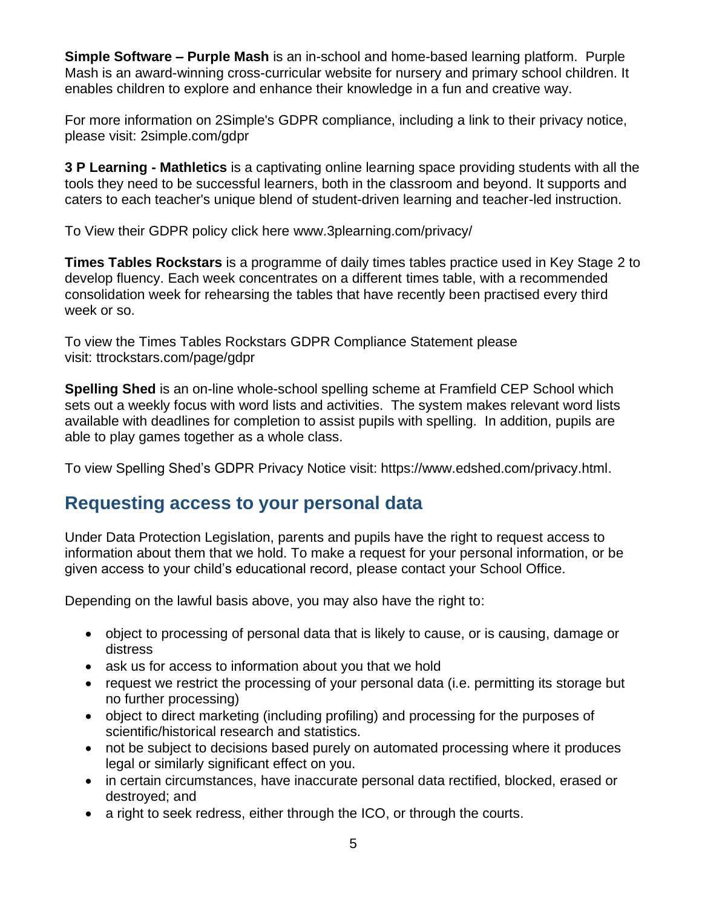**Simple Software – Purple Mash** is an in-school and home-based learning platform. Purple Mash is an award-winning cross-curricular website for nursery and primary school children. It enables children to explore and enhance their knowledge in a fun and creative way.

For more information on 2Simple's GDPR compliance, including a link to their privacy notice, please visit: [2simple.com/gdpr](https://2simple.com/gdpr/)

**3 P Learning - Mathletics** is a captivating online learning space providing students with all the tools they need to be successful learners, both in the classroom and beyond. It supports and caters to each teacher's unique blend of student-driven learning and teacher-led instruction.

To View their GDPR policy click here [www.3plearning.com/privacy/](http://www.3plearning.com/privacy/)

**Times Tables Rockstars** is a programme of daily times tables practice used in Key Stage 2 to develop fluency. Each week concentrates on a different times table, with a recommended consolidation week for rehearsing the tables that have recently been practised every third week or so.

To view the Times Tables Rockstars GDPR Compliance Statement please visit: [ttrockstars.com/page/gdpr](https://ttrockstars.com/page/gdpr)

**Spelling Shed** is an on-line whole-school spelling scheme at Framfield CEP School which sets out a weekly focus with word lists and activities. The system makes relevant word lists available with deadlines for completion to assist pupils with spelling. In addition, pupils are able to play games together as a whole class.

To view Spelling Shed's GDPR Privacy Notice visit: [https://www.edshed.com/privacy.html.](https://www.edshed.com/privacy.html)

### **Requesting access to your personal data**

Under Data Protection Legislation, parents and pupils have the right to request access to information about them that we hold. To make a request for your personal information, or be given access to your child's educational record, please contact your School Office.

Depending on the lawful basis above, you may also have the right to:

- object to processing of personal data that is likely to cause, or is causing, damage or distress
- ask us for access to information about you that we hold
- request we restrict the processing of your personal data (i.e. permitting its storage but no further processing)
- object to direct marketing (including profiling) and processing for the purposes of scientific/historical research and statistics.
- not be subject to decisions based purely on automated processing where it produces legal or similarly significant effect on you.
- in certain circumstances, have inaccurate personal data rectified, blocked, erased or destroyed; and
- a right to seek redress, either through the ICO, or through the courts.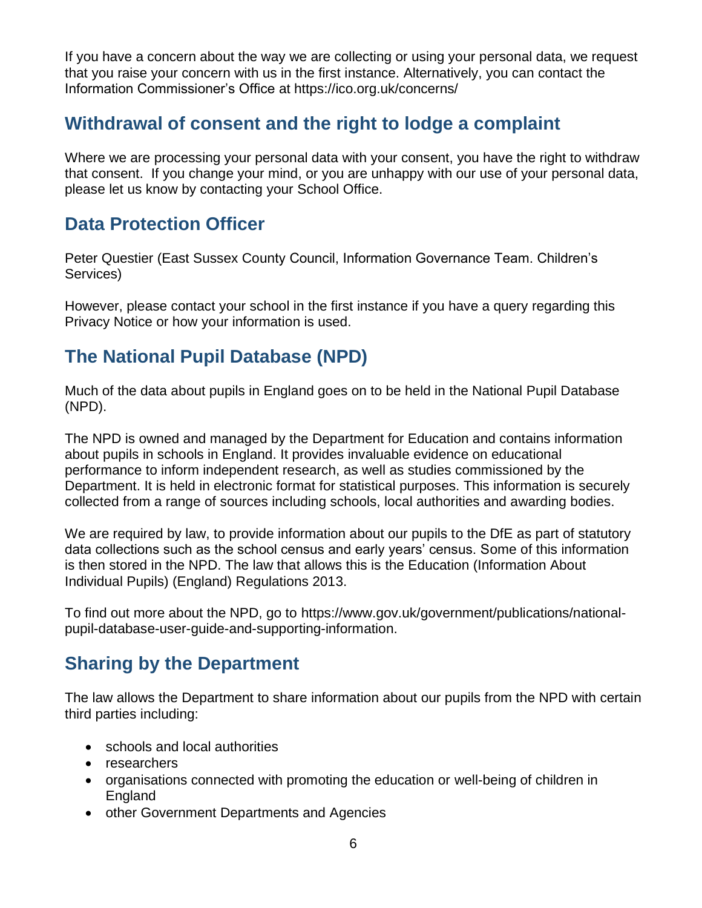If you have a concern about the way we are collecting or using your personal data, we request that you raise your concern with us in the first instance. Alternatively, you can contact the Information Commissioner's Office at<https://ico.org.uk/concerns/>

## **Withdrawal of consent and the right to lodge a complaint**

Where we are processing your personal data with your consent, you have the right to withdraw that consent. If you change your mind, or you are unhappy with our use of your personal data, please let us know by contacting your School Office.

## **Data Protection Officer**

Peter Questier (East Sussex County Council, Information Governance Team. Children's Services)

However, please contact your school in the first instance if you have a query regarding this Privacy Notice or how your information is used.

# **The National Pupil Database (NPD)**

Much of the data about pupils in England goes on to be held in the National Pupil Database (NPD).

The NPD is owned and managed by the Department for Education and contains information about pupils in schools in England. It provides invaluable evidence on educational performance to inform independent research, as well as studies commissioned by the Department. It is held in electronic format for statistical purposes. This information is securely collected from a range of sources including schools, local authorities and awarding bodies.

We are required by law, to provide information about our pupils to the DfE as part of statutory data collections such as the school census and early years' census. Some of this information is then stored in the NPD. The law that allows this is the Education (Information About Individual Pupils) (England) Regulations 2013.

To find out more about the NPD, go to [https://www.gov.uk/government/publications/national](https://www.gov.uk/government/publications/national-pupil-database-user-guide-and-supporting-information)[pupil-database-user-guide-and-supporting-information.](https://www.gov.uk/government/publications/national-pupil-database-user-guide-and-supporting-information)

# **Sharing by the Department**

The law allows the Department to share information about our pupils from the NPD with certain third parties including:

- schools and local authorities
- researchers
- organisations connected with promoting the education or well-being of children in England
- other Government Departments and Agencies